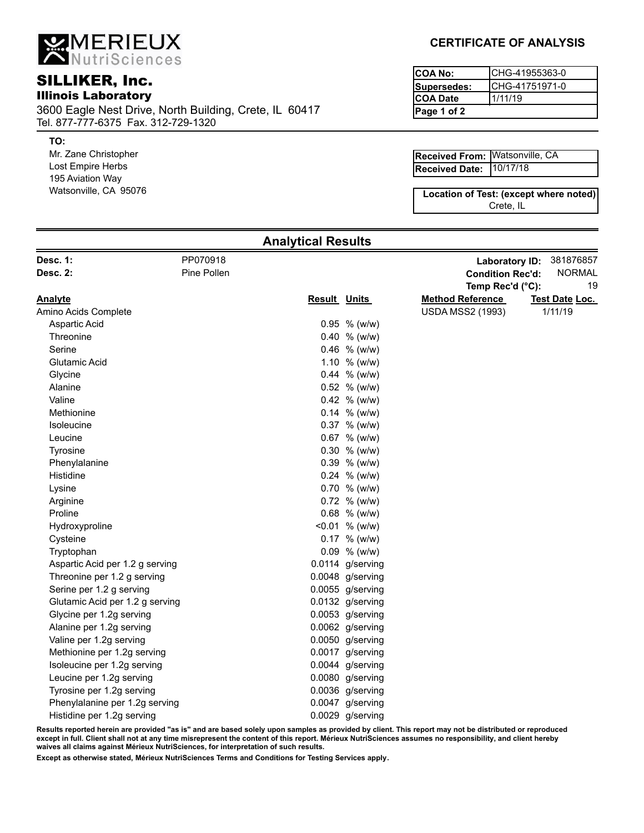

## SILLIKER, Inc.

Illinois Laboratory

3600 Eagle Nest Drive, North Building, Crete, IL 60417 Tel. 877-777-6375 Fax. 312-729-1320

### **TO:**

Mr. Zane Christopher Lost Empire Herbs 195 Aviation Way Watsonville, CA 95076

## **CERTIFICATE OF ANALYSIS**

| ICOA No:         | ICHG-41955363-0 |
|------------------|-----------------|
| Supersedes:      | ICHG-41751971-0 |
| <b>ICOA Date</b> | 1/11/19         |
| Page 1 of 2      |                 |

| <b>Received From: Watsonville, CA</b> |  |
|---------------------------------------|--|
| Received Date: 10/17/18               |  |

Crete, IL **Location of Test: (except where noted)**

| <b>Analytical Results</b>       |             |                     |                  |                         |                |  |
|---------------------------------|-------------|---------------------|------------------|-------------------------|----------------|--|
| <b>Desc. 1:</b>                 | PP070918    |                     |                  | <b>Laboratory ID:</b>   | 381876857      |  |
| <b>Desc. 2:</b>                 | Pine Pollen |                     |                  | <b>Condition Rec'd:</b> | <b>NORMAL</b>  |  |
|                                 |             |                     |                  | 19<br>Temp Rec'd (°C):  |                |  |
| <u>Analyte</u>                  |             | <b>Result Units</b> |                  | <b>Method Reference</b> | Test Date Loc. |  |
| Amino Acids Complete            |             |                     |                  | <b>USDA MSS2 (1993)</b> | 1/11/19        |  |
| Aspartic Acid                   |             |                     | $0.95 \% (w/w)$  |                         |                |  |
| Threonine                       |             |                     | $0.40 \%$ (w/w)  |                         |                |  |
| Serine                          |             |                     | $0.46$ % (w/w)   |                         |                |  |
| Glutamic Acid                   |             |                     | 1.10 $% (w/w)$   |                         |                |  |
| Glycine                         |             |                     | $0.44$ % (w/w)   |                         |                |  |
| Alanine                         |             |                     | $0.52 \% (w/w)$  |                         |                |  |
| Valine                          |             |                     | $0.42 \%$ (w/w)  |                         |                |  |
| Methionine                      |             |                     | $0.14 \%$ (w/w)  |                         |                |  |
| Isoleucine                      |             |                     | $0.37 \%$ (w/w)  |                         |                |  |
| Leucine                         |             |                     | $0.67$ % (w/w)   |                         |                |  |
| Tyrosine                        |             |                     | $0.30 \%$ (w/w)  |                         |                |  |
| Phenylalanine                   |             |                     | $0.39 \%$ (w/w)  |                         |                |  |
| Histidine                       |             |                     | $0.24 \%$ (w/w)  |                         |                |  |
| Lysine                          |             |                     | 0.70 % (w/w)     |                         |                |  |
| Arginine                        |             |                     | $0.72$ % (w/w)   |                         |                |  |
| Proline                         |             |                     | $0.68$ % (w/w)   |                         |                |  |
| Hydroxyproline                  |             |                     | $< 0.01$ % (w/w) |                         |                |  |
| Cysteine                        |             |                     | $0.17 \%$ (w/w)  |                         |                |  |
| Tryptophan                      |             |                     | $0.09 \%$ (w/w)  |                         |                |  |
| Aspartic Acid per 1.2 g serving |             |                     | 0.0114 g/serving |                         |                |  |
| Threonine per 1.2 g serving     |             |                     | 0.0048 g/serving |                         |                |  |
| Serine per 1.2 g serving        |             |                     | 0.0055 g/serving |                         |                |  |
| Glutamic Acid per 1.2 g serving |             |                     | 0.0132 g/serving |                         |                |  |
| Glycine per 1.2g serving        |             |                     | 0.0053 g/serving |                         |                |  |
| Alanine per 1.2g serving        |             |                     | 0.0062 g/serving |                         |                |  |
| Valine per 1.2g serving         |             |                     | 0.0050 g/serving |                         |                |  |
| Methionine per 1.2g serving     |             |                     | 0.0017 g/serving |                         |                |  |
| Isoleucine per 1.2g serving     |             |                     | 0.0044 g/serving |                         |                |  |
| Leucine per 1.2g serving        |             |                     | 0.0080 g/serving |                         |                |  |
| Tyrosine per 1.2g serving       |             |                     | 0.0036 g/serving |                         |                |  |
| Phenylalanine per 1.2g serving  |             |                     | 0.0047 g/serving |                         |                |  |
| Histidine per 1.2g serving      |             |                     | 0.0029 g/serving |                         |                |  |

**Results reported herein are provided "as is" and are based solely upon samples as provided by client. This report may not be distributed or reproduced except in full. Client shall not at any time misrepresent the content of this report. Mérieux NutriSciences assumes no responsibility, and client hereby waives all claims against Mérieux NutriSciences, for interpretation of such results.**

**Except as otherwise stated, Mérieux NutriSciences Terms and Conditions for Testing Services apply.**